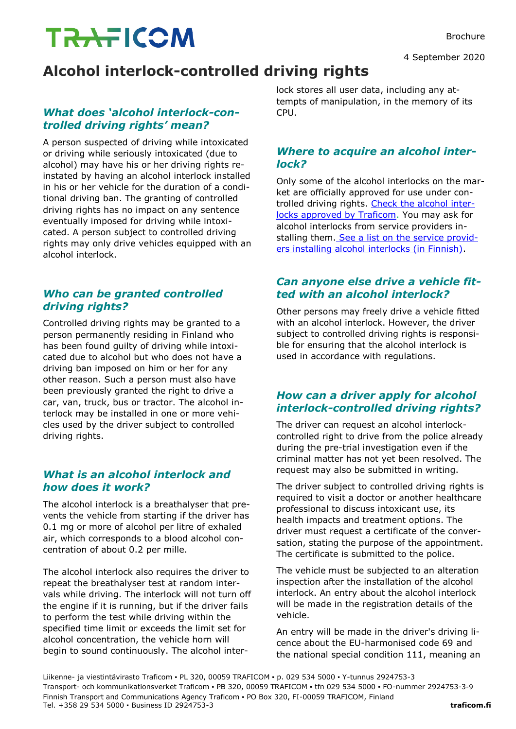# **TRAFICOM**

4 September 2020

# **Alcohol interlock-controlled driving rights**

## *What does 'alcohol interlock-controlled driving rights' mean?*

A person suspected of driving while intoxicated or driving while seriously intoxicated (due to alcohol) may have his or her driving rights reinstated by having an alcohol interlock installed in his or her vehicle for the duration of a conditional driving ban. The granting of controlled driving rights has no impact on any sentence eventually imposed for driving while intoxicated. A person subject to controlled driving rights may only drive vehicles equipped with an alcohol interlock.

# *Who can be granted controlled driving rights?*

Controlled driving rights may be granted to a person permanently residing in Finland who has been found guilty of driving while intoxicated due to alcohol but who does not have a driving ban imposed on him or her for any other reason. Such a person must also have been previously granted the right to drive a car, van, truck, bus or tractor. The alcohol interlock may be installed in one or more vehicles used by the driver subject to controlled driving rights.

## *What is an alcohol interlock and how does it work?*

The alcohol interlock is a breathalyser that prevents the vehicle from starting if the driver has 0.1 mg or more of alcohol per litre of exhaled air, which corresponds to a blood alcohol concentration of about 0.2 per mille.

The alcohol interlock also requires the driver to repeat the breathalyser test at random intervals while driving. The interlock will not turn off the engine if it is running, but if the driver fails to perform the test while driving within the specified time limit or exceeds the limit set for alcohol concentration, the vehicle horn will begin to sound continuously. The alcohol interlock stores all user data, including any attempts of manipulation, in the memory of its CPU.

#### *Where to acquire an alcohol interlock?*

Only some of the alcohol interlocks on the market are officially approved for use under controlled driving rights. [Check the alcohol inter](https://www.traficom.fi/en/liikenne/tieliikenne/tyyppihyvaksynta/hyvaksynnat)[locks approved by Traficom.](https://www.traficom.fi/en/liikenne/tieliikenne/tyyppihyvaksynta/hyvaksynnat) You may ask for alcohol interlocks from service providers in-stalling them. [See a list on the service provid](https://korjaamot.trafi.fi/)[ers installing alcohol interlocks \(in Finnish\).](https://korjaamot.trafi.fi/)

#### *Can anyone else drive a vehicle fitted with an alcohol interlock?*

Other persons may freely drive a vehicle fitted with an alcohol interlock. However, the driver subject to controlled driving rights is responsible for ensuring that the alcohol interlock is used in accordance with regulations.

## *How can a driver apply for alcohol interlock-controlled driving rights?*

The driver can request an alcohol interlockcontrolled right to drive from the police already during the pre-trial investigation even if the criminal matter has not yet been resolved. The request may also be submitted in writing.

The driver subject to controlled driving rights is required to visit a doctor or another healthcare professional to discuss intoxicant use, its health impacts and treatment options. The driver must request a certificate of the conversation, stating the purpose of the appointment. The certificate is submitted to the police.

The vehicle must be subjected to an alteration inspection after the installation of the alcohol interlock. An entry about the alcohol interlock will be made in the registration details of the vehicle.

An entry will be made in the driver's driving licence about the EU-harmonised code 69 and the national special condition 111, meaning an

Liikenne- ja viestintävirasto Traficom ▪ PL 320, 00059 TRAFICOM ▪ p. 029 534 5000 ▪ Y-tunnus 2924753-3 Transport- och kommunikationsverket Traficom ▪ PB 320, 00059 TRAFICOM ▪ tfn 029 534 5000 ▪ FO-nummer 2924753-3-9 Finnish Transport and Communications Agency Traficom ▪ PO Box 320, FI-00059 TRAFICOM, Finland Tel. +358 29 534 5000 ▪ Business ID 2924753-3 **traficom.fi**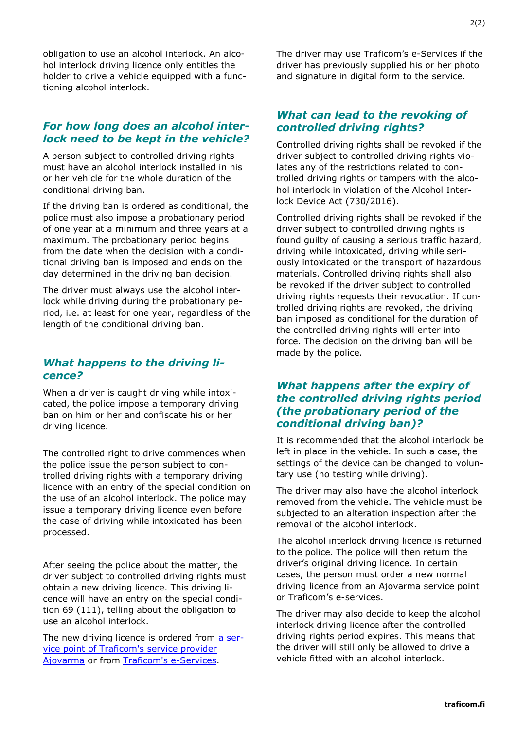obligation to use an alcohol interlock. An alcohol interlock driving licence only entitles the holder to drive a vehicle equipped with a functioning alcohol interlock.

#### *For how long does an alcohol interlock need to be kept in the vehicle?*

A person subject to controlled driving rights must have an alcohol interlock installed in his or her vehicle for the whole duration of the conditional driving ban.

If the driving ban is ordered as conditional, the police must also impose a probationary period of one year at a minimum and three years at a maximum. The probationary period begins from the date when the decision with a conditional driving ban is imposed and ends on the day determined in the driving ban decision.

The driver must always use the alcohol interlock while driving during the probationary period, i.e. at least for one year, regardless of the length of the conditional driving ban.

#### *What happens to the driving licence?*

When a driver is caught driving while intoxicated, the police impose a temporary driving ban on him or her and confiscate his or her driving licence.

The controlled right to drive commences when the police issue the person subject to controlled driving rights with a temporary driving licence with an entry of the special condition on the use of an alcohol interlock. The police may issue a temporary driving licence even before the case of driving while intoxicated has been processed.

After seeing the police about the matter, the driver subject to controlled driving rights must obtain a new driving licence. This driving licence will have an entry on the special condition 69 (111), telling about the obligation to use an alcohol interlock.

The new driving licence is ordered from [a ser](https://www.ajovarma.fi/en/)[vice point of Traficom's service provider](https://www.ajovarma.fi/en/)  [Ajovarma](https://www.ajovarma.fi/en/) or from [Traficom's e-Services.](https://www.traficom.fi/en/services/order-new-driving-licence)

The driver may use Traficom's e-Services if the driver has previously supplied his or her photo and signature in digital form to the service.

#### *What can lead to the revoking of controlled driving rights?*

Controlled driving rights shall be revoked if the driver subject to controlled driving rights violates any of the restrictions related to controlled driving rights or tampers with the alcohol interlock in violation of the Alcohol Interlock Device Act (730/2016).

Controlled driving rights shall be revoked if the driver subject to controlled driving rights is found guilty of causing a serious traffic hazard, driving while intoxicated, driving while seriously intoxicated or the transport of hazardous materials. Controlled driving rights shall also be revoked if the driver subject to controlled driving rights requests their revocation. If controlled driving rights are revoked, the driving ban imposed as conditional for the duration of the controlled driving rights will enter into force. The decision on the driving ban will be made by the police.

#### *What happens after the expiry of the controlled driving rights period (the probationary period of the conditional driving ban)?*

It is recommended that the alcohol interlock be left in place in the vehicle. In such a case, the settings of the device can be changed to voluntary use (no testing while driving).

The driver may also have the alcohol interlock removed from the vehicle. The vehicle must be subjected to an alteration inspection after the removal of the alcohol interlock.

The alcohol interlock driving licence is returned to the police. The police will then return the driver's original driving licence. In certain cases, the person must order a new normal driving licence from an Ajovarma service point or Traficom's e-services.

The driver may also decide to keep the alcohol interlock driving licence after the controlled driving rights period expires. This means that the driver will still only be allowed to drive a vehicle fitted with an alcohol interlock.